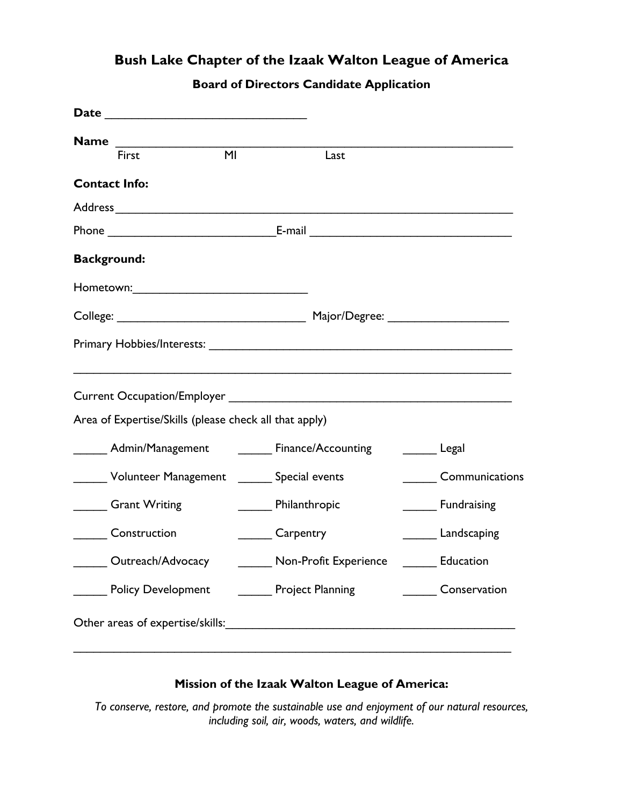## **Bush Lake Chapter of the Izaak Walton League of America**

## **Board of Directors Candidate Application**

| <b>Name</b><br>First                                   | M <sub>l</sub>                                                            | Last                                        |       |                |  |
|--------------------------------------------------------|---------------------------------------------------------------------------|---------------------------------------------|-------|----------------|--|
| <b>Contact Info:</b>                                   |                                                                           |                                             |       |                |  |
|                                                        |                                                                           |                                             |       |                |  |
|                                                        |                                                                           |                                             |       |                |  |
| <b>Background:</b>                                     |                                                                           |                                             |       |                |  |
|                                                        |                                                                           |                                             |       |                |  |
|                                                        |                                                                           |                                             |       |                |  |
|                                                        |                                                                           |                                             |       |                |  |
|                                                        |                                                                           |                                             |       |                |  |
|                                                        |                                                                           |                                             |       |                |  |
| Area of Expertise/Skills (please check all that apply) |                                                                           |                                             |       |                |  |
| Admin/Management Finance/Accounting                    |                                                                           |                                             | Legal |                |  |
|                                                        |                                                                           | Volunteer Management _______ Special events |       | Communications |  |
| <b>Grant Writing</b>                                   |                                                                           | Philanthropic<br><b>Eundraising</b>         |       |                |  |
| Construction                                           |                                                                           | Carpentry<br><b>Landscaping</b>             |       |                |  |
|                                                        | Outreach/Advocacy ________ Non-Profit Experience ________ Education       |                                             |       |                |  |
|                                                        | _____ Policy Development ________ Project Planning _________ Conservation |                                             |       |                |  |
|                                                        |                                                                           |                                             |       |                |  |
|                                                        |                                                                           |                                             |       |                |  |

## **Mission of the Izaak Walton League of America:**

*To conserve, restore, and promote the sustainable use and enjoyment of our natural resources, including soil, air, woods, waters, and wildlife.*